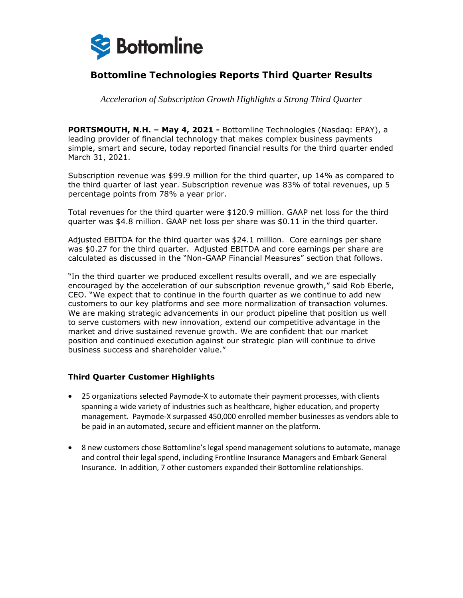

# **Bottomline Technologies Reports Third Quarter Results**

*Acceleration of Subscription Growth Highlights a Strong Third Quarter*

**PORTSMOUTH, N.H. – May 4, 2021 -** Bottomline Technologies (Nasdaq: EPAY), a leading provider of financial technology that makes complex business payments simple, smart and secure, today reported financial results for the third quarter ended March 31, 2021.

Subscription revenue was \$99.9 million for the third quarter, up 14% as compared to the third quarter of last year. Subscription revenue was 83% of total revenues, up 5 percentage points from 78% a year prior.

Total revenues for the third quarter were \$120.9 million. GAAP net loss for the third quarter was \$4.8 million. GAAP net loss per share was \$0.11 in the third quarter.

Adjusted EBITDA for the third quarter was \$24.1 million. Core earnings per share was \$0.27 for the third quarter. Adjusted EBITDA and core earnings per share are calculated as discussed in the "Non-GAAP Financial Measures" section that follows.

"In the third quarter we produced excellent results overall, and we are especially encouraged by the acceleration of our subscription revenue growth," said Rob Eberle, CEO. "We expect that to continue in the fourth quarter as we continue to add new customers to our key platforms and see more normalization of transaction volumes. We are making strategic advancements in our product pipeline that position us well to serve customers with new innovation, extend our competitive advantage in the market and drive sustained revenue growth. We are confident that our market position and continued execution against our strategic plan will continue to drive business success and shareholder value."

### **Third Quarter Customer Highlights**

- 25 organizations selected Paymode-X to automate their payment processes, with clients spanning a wide variety of industries such as healthcare, higher education, and property management. Paymode-X surpassed 450,000 enrolled member businesses as vendors able to be paid in an automated, secure and efficient manner on the platform.
- 8 new customers chose Bottomline's legal spend management solutions to automate, manage and control their legal spend, including Frontline Insurance Managers and Embark General Insurance. In addition, 7 other customers expanded their Bottomline relationships.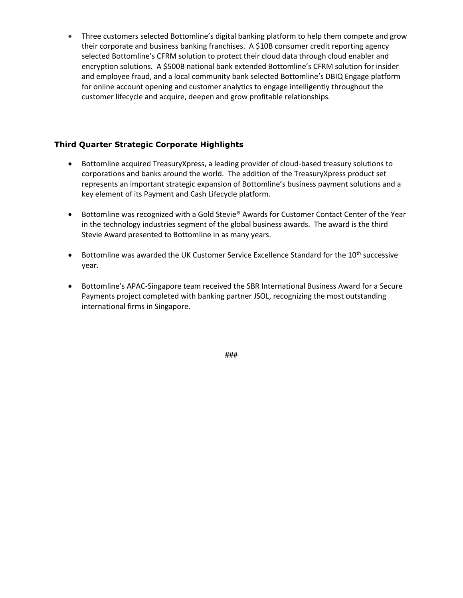• Three customers selected Bottomline's digital banking platform to help them compete and grow their corporate and business banking franchises. A \$10B consumer credit reporting agency selected Bottomline's CFRM solution to protect their cloud data through cloud enabler and encryption solutions. A \$500B national bank extended Bottomline's CFRM solution for insider and employee fraud, and a local community bank selected Bottomline's DBIQ Engage platform for online account opening and customer analytics to engage intelligently throughout the customer lifecycle and acquire, deepen and grow profitable relationships.

### **Third Quarter Strategic Corporate Highlights**

- Bottomline acquired TreasuryXpress, a leading provider of cloud-based treasury solutions to corporations and banks around the world. The addition of the TreasuryXpress product set represents an important strategic expansion of Bottomline's business payment solutions and a key element of its Payment and Cash Lifecycle platform.
- Bottomline was recognized with a Gold Stevie® Awards for Customer Contact Center of the Year in the technology industries segment of the global business awards. The award is the third Stevie Award presented to Bottomline in as many years.
- Bottomline was awarded the UK Customer Service Excellence Standard for the  $10^{th}$  successive year.
- Bottomline's APAC-Singapore team received the SBR International Business Award for a Secure Payments project completed with banking partner JSOL, recognizing the most outstanding international firms in Singapore.

**###**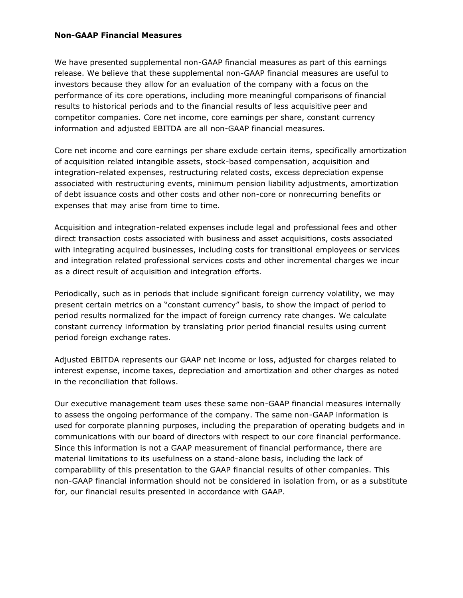### **Non-GAAP Financial Measures**

We have presented supplemental non-GAAP financial measures as part of this earnings release. We believe that these supplemental non-GAAP financial measures are useful to investors because they allow for an evaluation of the company with a focus on the performance of its core operations, including more meaningful comparisons of financial results to historical periods and to the financial results of less acquisitive peer and competitor companies. Core net income, core earnings per share, constant currency information and adjusted EBITDA are all non-GAAP financial measures.

Core net income and core earnings per share exclude certain items, specifically amortization of acquisition related intangible assets, stock-based compensation, acquisition and integration-related expenses, restructuring related costs, excess depreciation expense associated with restructuring events, minimum pension liability adjustments, amortization of debt issuance costs and other costs and other non-core or nonrecurring benefits or expenses that may arise from time to time.

Acquisition and integration-related expenses include legal and professional fees and other direct transaction costs associated with business and asset acquisitions, costs associated with integrating acquired businesses, including costs for transitional employees or services and integration related professional services costs and other incremental charges we incur as a direct result of acquisition and integration efforts.

Periodically, such as in periods that include significant foreign currency volatility, we may present certain metrics on a "constant currency" basis, to show the impact of period to period results normalized for the impact of foreign currency rate changes. We calculate constant currency information by translating prior period financial results using current period foreign exchange rates.

Adjusted EBITDA represents our GAAP net income or loss, adjusted for charges related to interest expense, income taxes, depreciation and amortization and other charges as noted in the reconciliation that follows.

Our executive management team uses these same non-GAAP financial measures internally to assess the ongoing performance of the company. The same non-GAAP information is used for corporate planning purposes, including the preparation of operating budgets and in communications with our board of directors with respect to our core financial performance. Since this information is not a GAAP measurement of financial performance, there are material limitations to its usefulness on a stand-alone basis, including the lack of comparability of this presentation to the GAAP financial results of other companies. This non-GAAP financial information should not be considered in isolation from, or as a substitute for, our financial results presented in accordance with GAAP.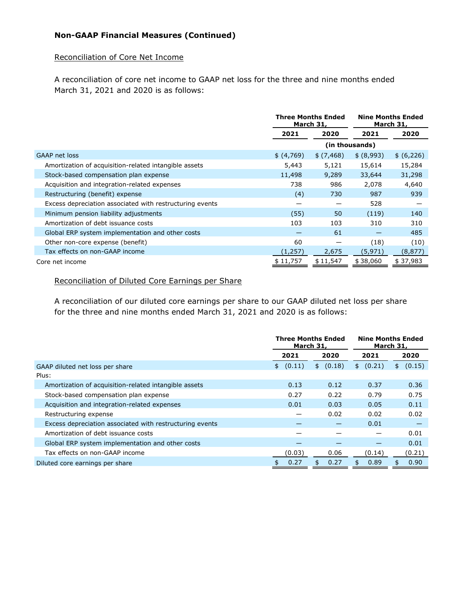## **Non-GAAP Financial Measures (Continued)**

### Reconciliation of Core Net Income

A reconciliation of core net income to GAAP net loss for the three and nine months ended March 31, 2021 and 2020 is as follows:

|                                                          |            | <b>Three Months Ended</b><br>March 31, |            | <b>Nine Months Ended</b><br>March 31, |  |
|----------------------------------------------------------|------------|----------------------------------------|------------|---------------------------------------|--|
|                                                          | 2021       | 2020                                   | 2021       | 2020                                  |  |
|                                                          |            | (in thousands)                         |            |                                       |  |
| <b>GAAP net loss</b>                                     | \$ (4,769) | \$(7,468)                              | \$ (8,993) | \$ (6,226)                            |  |
| Amortization of acquisition-related intangible assets    | 5,443      | 5,121                                  | 15,614     | 15,284                                |  |
| Stock-based compensation plan expense                    | 11,498     | 9,289                                  | 33,644     | 31,298                                |  |
| Acquisition and integration-related expenses             | 738        | 986                                    | 2,078      | 4,640                                 |  |
| Restructuring (benefit) expense                          | (4)        | 730                                    | 987        | 939                                   |  |
| Excess depreciation associated with restructuring events |            |                                        | 528        |                                       |  |
| Minimum pension liability adjustments                    | (55)       | 50                                     | (119)      | 140                                   |  |
| Amortization of debt issuance costs                      | 103        | 103                                    | 310        | 310                                   |  |
| Global ERP system implementation and other costs         |            | 61                                     |            | 485                                   |  |
| Other non-core expense (benefit)                         | 60         |                                        | (18)       | (10)                                  |  |
| Tax effects on non-GAAP income                           | (1, 257)   | 2,675                                  | (5, 971)   | (8, 877)                              |  |
| Core net income                                          | \$11,757   | \$11,547                               | \$38,060   | \$37,983                              |  |

### Reconciliation of Diluted Core Earnings per Share

A reconciliation of our diluted core earnings per share to our GAAP diluted net loss per share for the three and nine months ended March 31, 2021 and 2020 is as follows:

|                                                          | <b>Three Months Ended</b><br>March 31, |              | <b>Nine Months Ended</b><br>March 31, |              |
|----------------------------------------------------------|----------------------------------------|--------------|---------------------------------------|--------------|
|                                                          | 2021                                   | 2020         | 2021                                  | 2020         |
| GAAP diluted net loss per share                          | (0.11)<br>\$                           | (0.18)<br>\$ | (0.21)<br>\$                          | (0.15)<br>\$ |
| Plus:                                                    |                                        |              |                                       |              |
| Amortization of acquisition-related intangible assets    | 0.13                                   | 0.12         | 0.37                                  | 0.36         |
| Stock-based compensation plan expense                    | 0.27                                   | 0.22         | 0.79                                  | 0.75         |
| Acquisition and integration-related expenses             | 0.01                                   | 0.03         | 0.05                                  | 0.11         |
| Restructuring expense                                    |                                        | 0.02         | 0.02                                  | 0.02         |
| Excess depreciation associated with restructuring events |                                        |              | 0.01                                  |              |
| Amortization of debt issuance costs                      |                                        |              |                                       | 0.01         |
| Global ERP system implementation and other costs         |                                        |              |                                       | 0.01         |
| Tax effects on non-GAAP income                           | (0.03)                                 | 0.06         | (0.14)                                | (0.21)       |
| Diluted core earnings per share                          | 0.27                                   | 0.27<br>\$   | 0.89<br>\$.                           | 0.90<br>\$.  |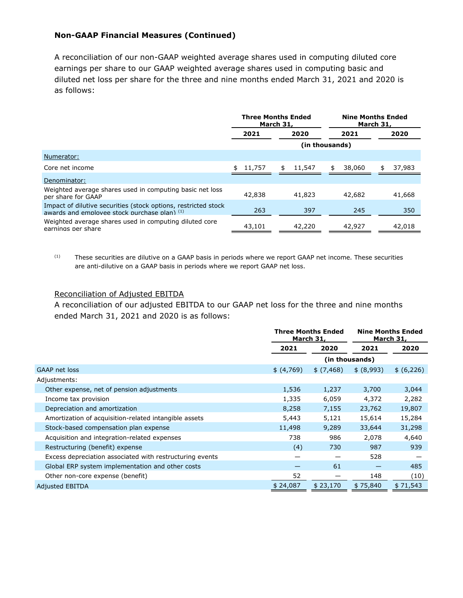### **Non-GAAP Financial Measures (Continued)**

A reconciliation of our non-GAAP weighted average shares used in computing diluted core earnings per share to our GAAP weighted average shares used in computing basic and diluted net loss per share for the three and nine months ended March 31, 2021 and 2020 is as follows:

|                                                                                                                | <b>Three Months Ended</b><br>March 31, |              | <b>Nine Months Ended</b><br>March 31, |              |  |
|----------------------------------------------------------------------------------------------------------------|----------------------------------------|--------------|---------------------------------------|--------------|--|
|                                                                                                                | 2021                                   | 2020         | 2021                                  | 2020         |  |
|                                                                                                                | (in thousands)                         |              |                                       |              |  |
| Numerator:                                                                                                     |                                        |              |                                       |              |  |
| Core net income                                                                                                | 11,757                                 | \$<br>11,547 | 38,060<br>\$                          | 37,983<br>\$ |  |
| Denominator:                                                                                                   |                                        |              |                                       |              |  |
| Weighted average shares used in computing basic net loss<br>per share for GAAP                                 | 42,838                                 | 41,823       | 42,682                                | 41,668       |  |
| Impact of dilutive securities (stock options, restricted stock<br>awards and employee stock purchase plan) (1) | 263                                    | 397          | 245                                   | 350          |  |
| Weighted average shares used in computing diluted core<br>earnings per share                                   | 43,101                                 | 42,220       | 42,927                                | 42,018       |  |

(1) These securities are dilutive on a GAAP basis in periods where we report GAAP net income. These securities are anti-dilutive on a GAAP basis in periods where we report GAAP net loss.

#### Reconciliation of Adjusted EBITDA

A reconciliation of our adjusted EBITDA to our GAAP net loss for the three and nine months ended March 31, 2021 and 2020 is as follows:

|                                                          | <b>Three Months Ended</b><br>March 31, |           |            | <b>Nine Months Ended</b><br>March 31, |
|----------------------------------------------------------|----------------------------------------|-----------|------------|---------------------------------------|
|                                                          | 2021                                   | 2020      | 2021       | 2020                                  |
|                                                          | (in thousands)                         |           |            |                                       |
| <b>GAAP net loss</b>                                     | \$ (4,769)                             | \$(7,468) | \$ (8,993) | \$ (6,226)                            |
| Adjustments:                                             |                                        |           |            |                                       |
| Other expense, net of pension adjustments                | 1,536                                  | 1,237     | 3,700      | 3,044                                 |
| Income tax provision                                     | 1,335                                  | 6,059     | 4,372      | 2,282                                 |
| Depreciation and amortization                            | 8,258                                  | 7,155     | 23,762     | 19,807                                |
| Amortization of acquisition-related intangible assets    | 5,443                                  | 5,121     | 15,614     | 15,284                                |
| Stock-based compensation plan expense                    | 11,498                                 | 9,289     | 33,644     | 31,298                                |
| Acquisition and integration-related expenses             | 738                                    | 986       | 2,078      | 4,640                                 |
| Restructuring (benefit) expense                          | (4)                                    | 730       | 987        | 939                                   |
| Excess depreciation associated with restructuring events |                                        |           | 528        |                                       |
| Global ERP system implementation and other costs         |                                        | 61        |            | 485                                   |
| Other non-core expense (benefit)                         | 52                                     |           | 148        | (10)                                  |
| <b>Adjusted EBITDA</b>                                   | \$24,087                               | \$23,170  | \$75,840   | \$71,543                              |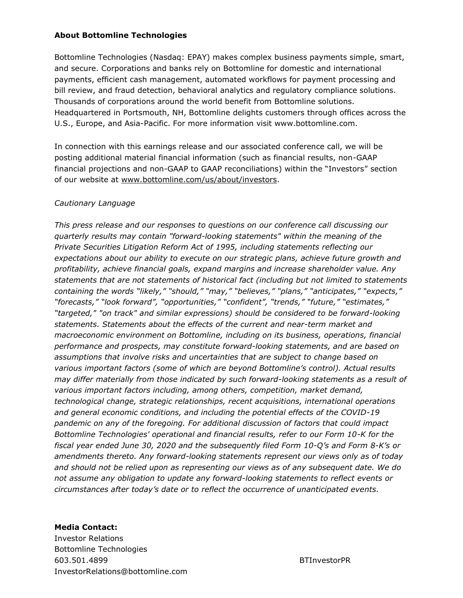### **About Bottomline Technologies**

Bottomline Technologies (Nasdaq: EPAY) makes complex business payments simple, smart, and secure. Corporations and banks rely on Bottomline for domestic and international payments, efficient cash management, automated workflows for payment processing and bill review, and fraud detection, behavioral analytics and regulatory compliance solutions. Thousands of corporations around the world benefit from Bottomline solutions. Headquartered in Portsmouth, NH, Bottomline delights customers through offices across the U.S., Europe, and Asia-Pacific. For more information visit www.bottomline.com.

In connection with this earnings release and our associated conference call, we will be posting additional material financial information (such as financial results, non-GAAP financial projections and non-GAAP to GAAP reconciliations) within the "Investors" section of our website at www.bottomline.com/us/about/investors.

### *Cautionary Language*

*This press release and our responses to questions on our conference call discussing our quarterly results may contain "forward-looking statements" within the meaning of the Private Securities Litigation Reform Act of 1995, including statements reflecting our expectations about our ability to execute on our strategic plans, achieve future growth and profitability, achieve financial goals, expand margins and increase shareholder value. Any statements that are not statements of historical fact (including but not limited to statements containing the words "likely," "should," "may," "believes," "plans," "anticipates," "expects," "forecasts," "look forward", "opportunities," "confident", "trends," "future," "estimates," "targeted," "on track" and similar expressions) should be considered to be forward-looking statements. Statements about the effects of the current and near-term market and macroeconomic environment on Bottomline, including on its business, operations, financial performance and prospects, may constitute forward-looking statements, and are based on assumptions that involve risks and uncertainties that are subject to change based on various important factors (some of which are beyond Bottomline's control). Actual results may differ materially from those indicated by such forward-looking statements as a result of various important factors including, among others, competition, market demand, technological change, strategic relationships, recent acquisitions, international operations and general economic conditions, and including the potential effects of the COVID-19 pandemic on any of the foregoing. For additional discussion of factors that could impact Bottomline Technologies' operational and financial results, refer to our Form 10-K for the fiscal year ended June 30, 2020 and the subsequently filed Form 10-Q's and Form 8-K's or amendments thereto. Any forward-looking statements represent our views only as of today and should not be relied upon as representing our views as of any subsequent date. We do not assume any obligation to update any forward-looking statements to reflect events or circumstances after today's date or to reflect the occurrence of unanticipated events.*

**Media Contact:** Investor Relations Bottomline Technologies 603.501.4899 BTInvestorPR InvestorRelations@bottomline.com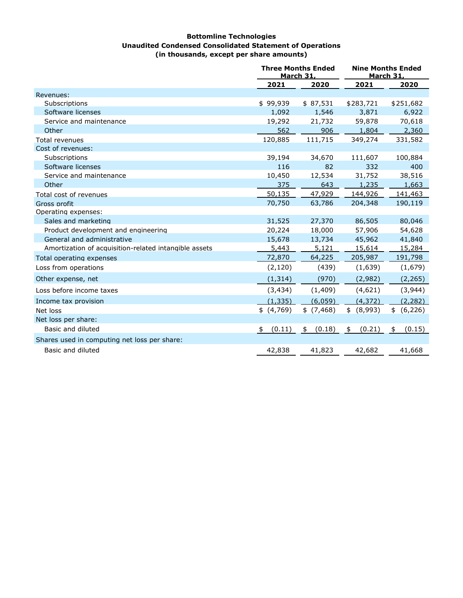#### **Bottomline Technologies Unaudited Condensed Consolidated Statement of Operations (in thousands, except per share amounts)**

|                                                       |              | <b>Three Months Ended</b><br><b>March 31,</b> |              | <b>Nine Months Ended</b><br><b>March 31,</b> |
|-------------------------------------------------------|--------------|-----------------------------------------------|--------------|----------------------------------------------|
|                                                       | 2021         | 2020                                          | 2021         | 2020                                         |
| Revenues:                                             |              |                                               |              |                                              |
| Subscriptions                                         | \$99,939     | \$87,531                                      | \$283,721    | \$251,682                                    |
| Software licenses                                     | 1,092        | 1,546                                         | 3,871        | 6,922                                        |
| Service and maintenance                               | 19,292       | 21,732                                        | 59,878       | 70,618                                       |
| Other                                                 | 562          | 906                                           | 1,804        | 2,360                                        |
| Total revenues                                        | 120,885      | 111,715                                       | 349,274      | 331,582                                      |
| Cost of revenues:                                     |              |                                               |              |                                              |
| Subscriptions                                         | 39,194       | 34,670                                        | 111,607      | 100,884                                      |
| Software licenses                                     | 116          | 82                                            | 332          | 400                                          |
| Service and maintenance                               | 10,450       | 12,534                                        | 31,752       | 38,516                                       |
| Other                                                 | 375          | 643                                           | 1,235        | 1,663                                        |
| Total cost of revenues                                | 50,135       | 47,929                                        | 144,926      | 141,463                                      |
| Gross profit                                          | 70,750       | 63,786                                        | 204,348      | 190,119                                      |
| Operating expenses:                                   |              |                                               |              |                                              |
| Sales and marketing                                   | 31,525       | 27,370                                        | 86,505       | 80,046                                       |
| Product development and engineering                   | 20,224       | 18,000                                        | 57,906       | 54,628                                       |
| General and administrative                            | 15,678       | 13,734                                        | 45,962       | 41,840                                       |
| Amortization of acquisition-related intangible assets | 5,443        | 5,121                                         | 15,614       | 15,284                                       |
| Total operating expenses                              | 72,870       | 64,225                                        | 205,987      | 191,798                                      |
| Loss from operations                                  | (2, 120)     | (439)                                         | (1,639)      | (1,679)                                      |
| Other expense, net                                    | (1, 314)     | (970)                                         | (2,982)      | (2, 265)                                     |
| Loss before income taxes                              | (3, 434)     | (1, 409)                                      | (4,621)      | (3,944)                                      |
| Income tax provision                                  | (1, 335)     | (6,059)                                       | (4, 372)     | (2, 282)                                     |
| Net loss                                              | \$ (4,769)   | \$ (7,468)                                    | \$ (8,993)   | \$ (6,226)                                   |
| Net loss per share:                                   |              |                                               |              |                                              |
| Basic and diluted                                     | (0.11)<br>\$ | (0.18)<br>\$                                  | (0.21)<br>\$ | (0.15)<br>\$                                 |
| Shares used in computing net loss per share:          |              |                                               |              |                                              |
| Basic and diluted                                     | 42,838       | 41,823                                        | 42,682       | 41,668                                       |